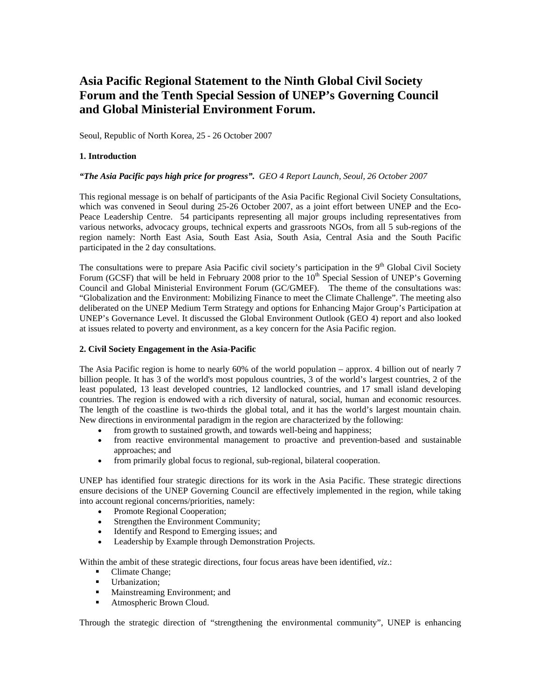# **Asia Pacific Regional Statement to the Ninth Global Civil Society Forum and the Tenth Special Session of UNEP's Governing Council and Global Ministerial Environment Forum.**

Seoul, Republic of North Korea, 25 - 26 October 2007

# **1. Introduction**

## *"The Asia Pacific pays high price for progress". GEO 4 Report Launch, Seoul, 26 October 2007*

This regional message is on behalf of participants of the Asia Pacific Regional Civil Society Consultations, which was convened in Seoul during 25-26 October 2007, as a joint effort between UNEP and the Eco-Peace Leadership Centre. 54 participants representing all major groups including representatives from various networks, advocacy groups, technical experts and grassroots NGOs, from all 5 sub-regions of the region namely: North East Asia, South East Asia, South Asia, Central Asia and the South Pacific participated in the 2 day consultations.

The consultations were to prepare Asia Pacific civil society's participation in the 9<sup>th</sup> Global Civil Society Forum (GCSF) that will be held in February 2008 prior to the 10<sup>th</sup> Special Session of UNEP's Governing Council and Global Ministerial Environment Forum (GC/GMEF). The theme of the consultations was: "Globalization and the Environment: Mobilizing Finance to meet the Climate Challenge". The meeting also deliberated on the UNEP Medium Term Strategy and options for Enhancing Major Group's Participation at UNEP's Governance Level. It discussed the Global Environment Outlook (GEO 4) report and also looked at issues related to poverty and environment, as a key concern for the Asia Pacific region.

#### **2. Civil Society Engagement in the Asia-Pacific**

The Asia Pacific region is home to nearly 60% of the world population – approx. 4 billion out of nearly 7 billion people. It has 3 of the world's most populous countries, 3 of the world's largest countries, 2 of the least populated, 13 least developed countries, 12 landlocked countries, and 17 small island developing countries. The region is endowed with a rich diversity of natural, social, human and economic resources. The length of the coastline is two-thirds the global total, and it has the world's largest mountain chain. New directions in environmental paradigm in the region are characterized by the following:

- from growth to sustained growth, and towards well-being and happiness;
- from reactive environmental management to proactive and prevention-based and sustainable approaches; and
- from primarily global focus to regional, sub-regional, bilateral cooperation.

UNEP has identified four strategic directions for its work in the Asia Pacific. These strategic directions ensure decisions of the UNEP Governing Council are effectively implemented in the region, while taking into account regional concerns/priorities, namely:

- Promote Regional Cooperation;
- Strengthen the Environment Community;
- Identify and Respond to Emerging issues; and
- Leadership by Example through Demonstration Projects.

Within the ambit of these strategic directions, four focus areas have been identified, *viz*.:

- Climate Change;
- **Urbanization**;
- **Mainstreaming Environment; and**
- **Atmospheric Brown Cloud.**

Through the strategic direction of "strengthening the environmental community", UNEP is enhancing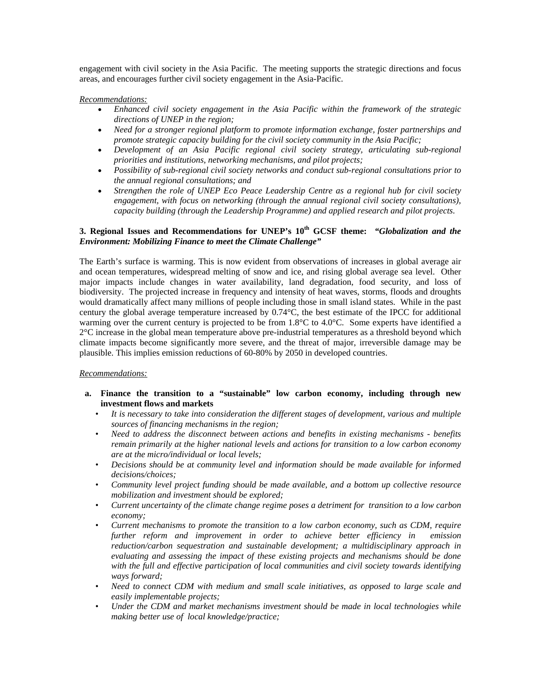engagement with civil society in the Asia Pacific. The meeting supports the strategic directions and focus areas, and encourages further civil society engagement in the Asia-Pacific.

*Recommendations:*

- *Enhanced civil society engagement in the Asia Pacific within the framework of the strategic directions of UNEP in the region;*
- *Need for a stronger regional platform to promote information exchange, foster partnerships and promote strategic capacity building for the civil society community in the Asia Pacific;*
- *Development of an Asia Pacific regional civil society strategy, articulating sub-regional priorities and institutions, networking mechanisms, and pilot projects;*
- *Possibility of sub-regional civil society networks and conduct sub-regional consultations prior to the annual regional consultations; and*
- *Strengthen the role of UNEP Eco Peace Leadership Centre as a regional hub for civil society engagement, with focus on networking (through the annual regional civil society consultations), capacity building (through the Leadership Programme) and applied research and pilot projects*.

# **3. Regional Issues and Recommendations for UNEP's 10th GCSF theme:** *"Globalization and the Environment: Mobilizing Finance to meet the Climate Challenge"*

The Earth's surface is warming. This is now evident from observations of increases in global average air and ocean temperatures, widespread melting of snow and ice, and rising global average sea level. Other major impacts include changes in water availability, land degradation, food security, and loss of biodiversity. The projected increase in frequency and intensity of heat waves, storms, floods and droughts would dramatically affect many millions of people including those in small island states. While in the past century the global average temperature increased by 0.74°C, the best estimate of the IPCC for additional warming over the current century is projected to be from 1.8°C to 4.0°C. Some experts have identified a 2°C increase in the global mean temperature above pre-industrial temperatures as a threshold beyond which climate impacts become significantly more severe, and the threat of major, irreversible damage may be plausible. This implies emission reductions of 60-80% by 2050 in developed countries.

#### *Recommendations:*

- **a. Finance the transition to a "sustainable" low carbon economy, including through new investment flows and markets** 
	- *It is necessary to take into consideration the different stages of development, various and multiple sources of financing mechanisms in the region;*
	- *Need to address the disconnect between actions and benefits in existing mechanisms benefits remain primarily at the higher national levels and actions for transition to a low carbon economy are at the micro/individual or local levels;*
	- *Decisions should be at community level and information should be made available for informed decisions/choices;*
	- *Community level project funding should be made available, and a bottom up collective resource mobilization and investment should be explored;*
	- *Current uncertainty of the climate change regime poses a detriment for transition to a low carbon economy;*
	- *Current mechanisms to promote the transition to a low carbon economy, such as CDM, require further reform and improvement in order to achieve better efficiency in emission reduction/carbon sequestration and sustainable development; a multidisciplinary approach in evaluating and assessing the impact of these existing projects and mechanisms should be done with the full and effective participation of local communities and civil society towards identifying ways forward;*
	- *Need to connect CDM with medium and small scale initiatives, as opposed to large scale and easily implementable projects;*
	- *Under the CDM and market mechanisms investment should be made in local technologies while making better use of local knowledge/practice;*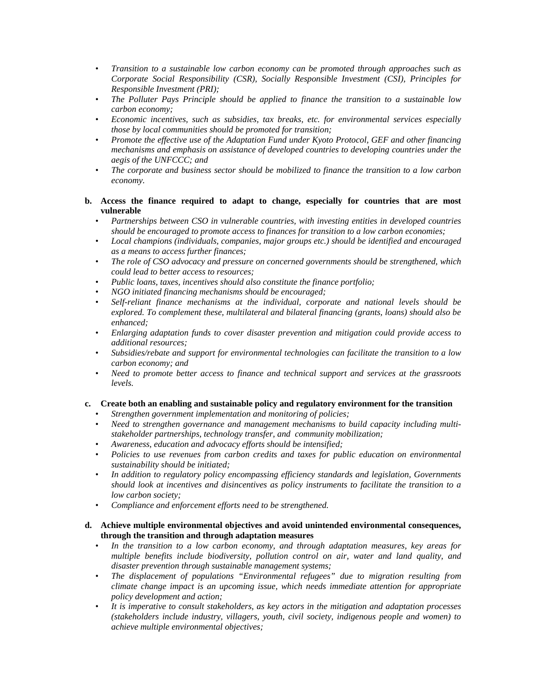- *Transition to a sustainable low carbon economy can be promoted through approaches such as Corporate Social Responsibility (CSR), Socially Responsible Investment (CSI), Principles for Responsible Investment (PRI);*
- *The Polluter Pays Principle should be applied to finance the transition to a sustainable low carbon economy;*
- *Economic incentives, such as subsidies, tax breaks, etc. for environmental services especially those by local communities should be promoted for transition;*
- *Promote the effective use of the Adaptation Fund under Kyoto Protocol, GEF and other financing mechanisms and emphasis on assistance of developed countries to developing countries under the aegis of the UNFCCC; and*
- *The corporate and business sector should be mobilized to finance the transition to a low carbon economy.*
- **b. Access the finance required to adapt to change, especially for countries that are most vulnerable** 
	- *Partnerships between CSO in vulnerable countries, with investing entities in developed countries should be encouraged to promote access to finances for transition to a low carbon economies;*
	- *Local champions (individuals, companies, major groups etc.) should be identified and encouraged as a means to access further finances;*
	- *The role of CSO advocacy and pressure on concerned governments should be strengthened, which could lead to better access to resources;*
	- *Public loans, taxes, incentives should also constitute the finance portfolio;*
	- *NGO initiated financing mechanisms should be encouraged;*
	- *Self-reliant finance mechanisms at the individual, corporate and national levels should be explored. To complement these, multilateral and bilateral financing (grants, loans) should also be enhanced;*
	- *Enlarging adaptation funds to cover disaster prevention and mitigation could provide access to additional resources;*
	- *Subsidies/rebate and support for environmental technologies can facilitate the transition to a low carbon economy; and*
	- *Need to promote better access to finance and technical support and services at the grassroots levels.*

#### **c. Create both an enabling and sustainable policy and regulatory environment for the transition**

- *Strengthen government implementation and monitoring of policies;*
- *Need to strengthen governance and management mechanisms to build capacity including multistakeholder partnerships, technology transfer, and community mobilization;*
- *Awareness, education and advocacy efforts should be intensified;*
- *Policies to use revenues from carbon credits and taxes for public education on environmental sustainability should be initiated;*
- *In addition to regulatory policy encompassing efficiency standards and legislation, Governments should look at incentives and disincentives as policy instruments to facilitate the transition to a low carbon society;*
- *Compliance and enforcement efforts need to be strengthened.*

## **d. Achieve multiple environmental objectives and avoid unintended environmental consequences, through the transition and through adaptation measures**

- *In the transition to a low carbon economy, and through adaptation measures, key areas for multiple benefits include biodiversity, pollution control on air, water and land quality, and disaster prevention through sustainable management systems;*
- *The displacement of populations "Environmental refugees" due to migration resulting from climate change impact is an upcoming issue, which needs immediate attention for appropriate policy development and action;*
- *It is imperative to consult stakeholders, as key actors in the mitigation and adaptation processes (stakeholders include industry, villagers, youth, civil society, indigenous people and women) to achieve multiple environmental objectives;*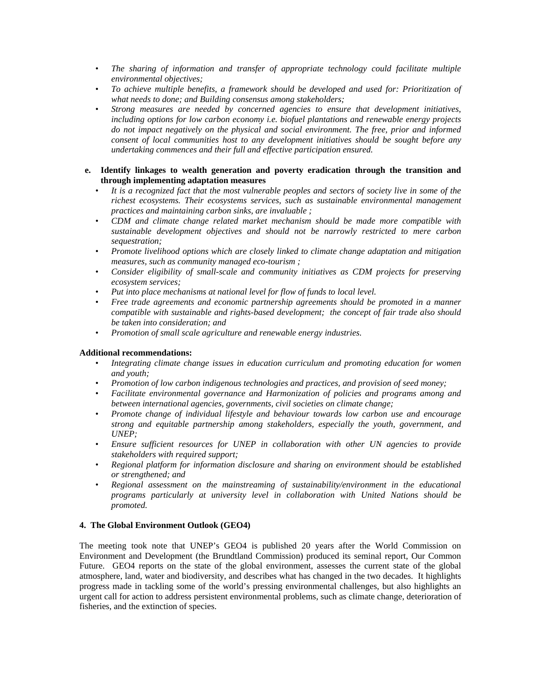- *The sharing of information and transfer of appropriate technology could facilitate multiple environmental objectives;*
- *To achieve multiple benefits, a framework should be developed and used for: Prioritization of what needs to done; and Building consensus among stakeholders;*
- *Strong measures are needed by concerned agencies to ensure that development initiatives, including options for low carbon economy i.e. biofuel plantations and renewable energy projects do not impact negatively on the physical and social environment. The free, prior and informed consent of local communities host to any development initiatives should be sought before any undertaking commences and their full and effective participation ensured.*
- **e. Identify linkages to wealth generation and poverty eradication through the transition and through implementing adaptation measures** 
	- *It is a recognized fact that the most vulnerable peoples and sectors of society live in some of the richest ecosystems. Their ecosystems services, such as sustainable environmental management practices and maintaining carbon sinks, are invaluable ;*
	- *CDM and climate change related market mechanism should be made more compatible with sustainable development objectives and should not be narrowly restricted to mere carbon sequestration;*
	- *Promote livelihood options which are closely linked to climate change adaptation and mitigation measures, such as community managed eco-tourism ;*
	- *Consider eligibility of small-scale and community initiatives as CDM projects for preserving ecosystem services;*
	- *Put into place mechanisms at national level for flow of funds to local level.*
	- *Free trade agreements and economic partnership agreements should be promoted in a manner compatible with sustainable and rights-based development; the concept of fair trade also should be taken into consideration; and*
	- *Promotion of small scale agriculture and renewable energy industries.*

#### **Additional recommendations:**

- *Integrating climate change issues in education curriculum and promoting education for women and youth;*
- *Promotion of low carbon indigenous technologies and practices, and provision of seed money;*
- *Facilitate environmental governance and Harmonization of policies and programs among and between international agencies, governments, civil societies on climate change;*
- *Promote change of individual lifestyle and behaviour towards low carbon use and encourage strong and equitable partnership among stakeholders, especially the youth, government, and UNEP;*
- *Ensure sufficient resources for UNEP in collaboration with other UN agencies to provide stakeholders with required support;*
- *Regional platform for information disclosure and sharing on environment should be established or strengthened; and*
- *Regional assessment on the mainstreaming of sustainability/environment in the educational programs particularly at university level in collaboration with United Nations should be promoted.*

#### **4. The Global Environment Outlook (GEO4)**

The meeting took note that UNEP's GEO4 is published 20 years after the World Commission on Environment and Development (the Brundtland Commission) produced its seminal report, Our Common Future. GEO4 reports on the state of the global environment, assesses the current state of the global atmosphere, land, water and biodiversity, and describes what has changed in the two decades. It highlights progress made in tackling some of the world's pressing environmental challenges, but also highlights an urgent call for action to address persistent environmental problems, such as climate change, deterioration of fisheries, and the extinction of species.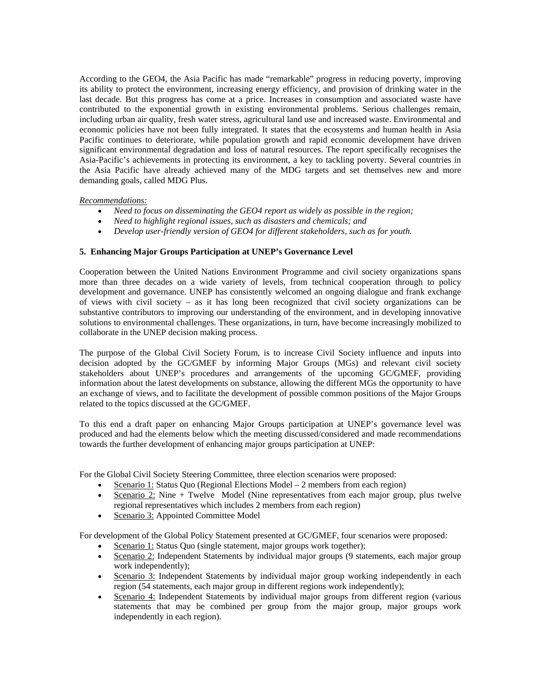According to the GEO4, the Asia Pacific has made "remarkable" progress in reducing poverty, improving its ability to protect the environment, increasing energy efficiency, and provision of drinking water in the last decade. But this progress has come at a price. Increases in consumption and associated waste have contributed to the exponential growth in existing environmental problems. Serious challenges remain, including urban air quality, fresh water stress, agricultural land use and increased waste. Environmental and economic policies have not been fully integrated. It states that the ecosystems and human health in Asia Pacific continues to deteriorate, while population growth and rapid economic development have driven significant environmental degradation and loss of natural resources. The report specifically recognises the Asia-Pacific's achievements in protecting its environment, a key to tackling poverty. Several countries in the Asia Pacific have already achieved many of the MDG targets and set themselves new and more demanding goals, called MDG Plus.

## *Recommendations:*

- *Need to focus on disseminating the GEO4 report as widely as possible in the region;*
- *Need to highlight regional issues, such as disasters and chemicals; and*
- *Develop user-friendly version of GEO4 for different stakeholders, such as for youth.*

## **5. Enhancing Major Groups Participation at UNEP's Governance Level**

Cooperation between the United Nations Environment Programme and civil society organizations spans more than three decades on a wide variety of levels, from technical cooperation through to policy development and governance. UNEP has consistently welcomed an ongoing dialogue and frank exchange of views with civil society – as it has long been recognized that civil society organizations can be substantive contributors to improving our understanding of the environment, and in developing innovative solutions to environmental challenges. These organizations, in turn, have become increasingly mobilized to collaborate in the UNEP decision making process.

The purpose of the Global Civil Society Forum, is to increase Civil Society influence and inputs into decision adopted by the GC/GMEF by informing Major Groups (MGs) and relevant civil society stakeholders about UNEP's procedures and arrangements of the upcoming GC/GMEF, providing information about the latest developments on substance, allowing the different MGs the opportunity to have an exchange of views, and to facilitate the development of possible common positions of the Major Groups related to the topics discussed at the GC/GMEF.

To this end a draft paper on enhancing Major Groups participation at UNEP's governance level was produced and had the elements below which the meeting discussed/considered and made recommendations towards the further development of enhancing major groups participation at UNEP:

For the Global Civil Society Steering Committee, three election scenarios were proposed:

- Scenario 1: Status Quo (Regional Elections Model 2 members from each region)
- Scenario 2: Nine + Twelve Model (Nine representatives from each major group, plus twelve regional representatives which includes 2 members from each region)
- Scenario 3: Appointed Committee Model

For development of the Global Policy Statement presented at GC/GMEF, four scenarios were proposed:

- Scenario 1: Status Quo (single statement, major groups work together);
- Scenario 2: Independent Statements by individual major groups (9 statements, each major group work independently);
- Scenario 3: Independent Statements by individual major group working independently in each region (54 statements, each major group in different regions work independently);
- Scenario 4: Independent Statements by individual major groups from different region (various statements that may be combined per group from the major group, major groups work independently in each region).